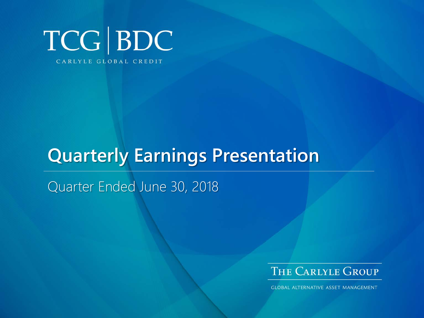

# **Quarterly Earnings Presentation**

Quarter Ended June 30, 2018



**GLOBAL ALTERNATIVE ASSET MANAGEMENT**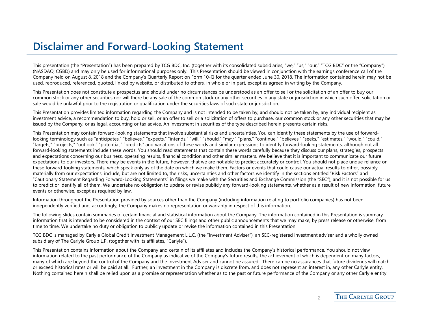### **Disclaimer and Forward-Looking Statement**

This presentation (the "Presentation") has been prepared by TCG BDC, Inc. (together with its consolidated subsidiaries, "we," "us," "our," "TCG BDC" or the "Company") (NASDAQ: CGBD) and may only be used for informational purposes only. This Presentation should be viewed in conjunction with the earnings conference call of the Company held on August 8, 2018 and the Company's Quarterly Report on Form 10-Q for the quarter ended June 30, 2018. The information contained herein may not be used, reproduced, referenced, quoted, linked by website, or distributed to others, in whole or in part, except as agreed in writing by the Company.

This Presentation does not constitute a prospectus and should under no circumstances be understood as an offer to sell or the solicitation of an offer to buy our common stock or any other securities nor will there be any sale of the common stock or any other securities in any state or jurisdiction in which such offer, solicitation or sale would be unlawful prior to the registration or qualification under the securities laws of such state or jurisdiction.

This Presentation provides limited information regarding the Company and is not intended to be taken by, and should not be taken by, any individual recipient as investment advice, a recommendation to buy, hold or sell, or an offer to sell or a solicitation of offers to purchase, our common stock or any other securities that may be issued by the Company, or as legal, accounting or tax advice. An investment in securities of the type described herein presents certain risks.

This Presentation may contain forward-looking statements that involve substantial risks and uncertainties. You can identify these statements by the use of forwardlooking terminology such as "anticipates," "believes," "expects," "intends," "will," "should," "may," "plans," "continue," "believes," "seeks," "estimates," "would," "could," "targets," "projects," "outlook," "potential," "predicts" and variations of these words and similar expressions to identify forward-looking statements, although not all forward-looking statements include these words. You should read statements that contain these words carefully because they discuss our plans, strategies, prospects and expectations concerning our business, operating results, financial condition and other similar matters. We believe that it is important to communicate our future expectations to our investors. There may be events in the future, however, that we are not able to predict accurately or control. You should not place undue reliance on these forward-looking statements, which speak only as of the date on which we make them. Factors or events that could cause our actual results to differ, possibly materially from our expectations, include, but are not limited to, the risks, uncertainties and other factors we identify in the sections entitled "Risk Factors" and "Cautionary Statement Regarding Forward-Looking Statements" in filings we make with the Securities and Exchange Commission (the "SEC"), and it is not possible for us to predict or identify all of them. We undertake no obligation to update or revise publicly any forward-looking statements, whether as a result of new information, future events or otherwise, except as required by law.

Information throughout the Presentation provided by sources other than the Company (including information relating to portfolio companies) has not been independently verified and, accordingly, the Company makes no representation or warranty in respect of this information.

The following slides contain summaries of certain financial and statistical information about the Company. The information contained in this Presentation is summary information that is intended to be considered in the context of our SEC filings and other public announcements that we may make, by press release or otherwise, from time to time. We undertake no duty or obligation to publicly update or revise the information contained in this Presentation.

TCG BDC is managed by Carlyle Global Credit Investment Management L.L.C. (the "Investment Adviser"), an SEC-registered investment adviser and a wholly owned subsidiary of The Carlyle Group L.P. (together with its affiliates, "Carlyle").

This Presentation contains information about the Company and certain of its affiliates and includes the Company's historical performance. You should not view information related to the past performance of the Company as indicative of the Company's future results, the achievement of which is dependent on many factors, many of which are beyond the control of the Company and the Investment Adviser and cannot be assured. There can be no assurances that future dividends will match or exceed historical rates or will be paid at all. Further, an investment in the Company is discrete from, and does not represent an interest in, any other Carlyle entity. Nothing contained herein shall be relied upon as a promise or representation whether as to the past or future performance of the Company or any other Carlyle entity.

 $\overline{\mathcal{L}}$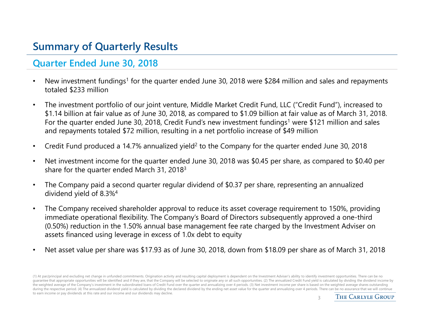# **Summary of Quarterly Results**

#### **Quarter Ended June 30, 2018**

- •New investment fundings<sup>1</sup> for the quarter ended June 30, 2018 were \$284 million and sales and repayments totaled \$233 million
- • The investment portfolio of our joint venture, Middle Market Credit Fund, LLC ("Credit Fund"), increased to \$1.14 billion at fair value as of June 30, 2018, as compared to \$1.09 billion at fair value as of March 31, 2018. For the quarter ended June 30, 2018, Credit Fund's new investment fundings<sup>1</sup> were \$121 million and sales and repayments totaled \$72 million, resulting in a net portfolio increase of \$49 million
- •Credit Fund produced a 14.7% annualized yield<sup>2</sup> to the Company for the quarter ended June 30, 2018
- • Net investment income for the quarter ended June 30, 2018 was \$0.45 per share, as compared to \$0.40 per share for the quarter ended March 31, 20183
- • The Company paid a second quarter regular dividend of \$0.37 per share, representing an annualized dividend yield of 8.3%4
- • The Company received shareholder approval to reduce its asset coverage requirement to 150%, providing immediate operational flexibility. The Company's Board of Directors subsequently approved a one-third (0.50%) reduction in the 1.50% annual base management fee rate charged by the Investment Adviser on assets financed using leverage in excess of 1.0x debt to equity
- •Net asset value per share was \$17.93 as of June 30, 2018, down from \$18.09 per share as of March 31, 2018

<sup>(1)</sup> At par/principal and excluding net change in unfunded commitments. Origination activity and resulting capital deployment is dependent on the Investment Adviser's ability to identify investment opportunities. There can guarantee that appropriate opportunities will be identified and if they are, that the Company will be selected to originate any or all such opportunities. (2) The annualized Credit Fund yield is calculated by dividing the the weighted average of the Company's investment in the subordinated loans of Credit Fund over the quarter and annualizing over 4 periods. (3) Net investment income per share is based on the weighted average shares outstan during the respective period. (4) The annualized dividend yield is calculated by dividing the declared dividend by the ending net asset value for the quarter and annualizing over 4 periods. There can be no assurance that w to earn income or pay dividends at this rate and our income and our dividends may decline. 3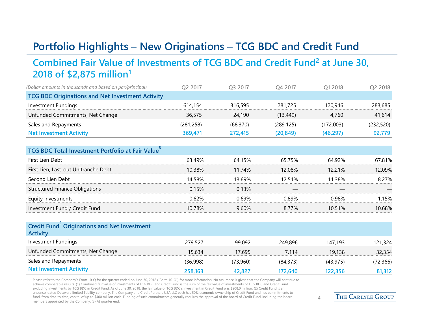# **Portfolio Highlights – New Originations – TCG BDC and Credit Fund**

#### **Combined Fair Value of Investments of TCG BDC and Credit Fund2 at June 30, 2018 of \$2,875 million1**

| (Dollar amounts in thousands and based on par/principal) | Q2 2017    | Q3 2017   | O4 2017    | O1 2018   | Q2 2018    |
|----------------------------------------------------------|------------|-----------|------------|-----------|------------|
| <b>TCG BDC Originations and Net Investment Activity</b>  |            |           |            |           |            |
| <b>Investment Fundings</b>                               | 614,154    | 316,595   | 281,725    | 120,946   | 283,685    |
| Unfunded Commitments, Net Change                         | 36,575     | 24,190    | (13, 449)  | 4,760     | 41,614     |
| Sales and Repayments                                     | (281, 258) | (68, 370) | (289, 125) | (172,003) | (232, 520) |
| <b>Net Investment Activity</b>                           | 369,471    | 272,415   | (20, 849)  | (46, 297) | 92,779     |
|                                                          |            |           |            |           |            |
| TCG BDC Total Investment Portfolio at Fair Value         |            |           |            |           |            |
| First Lien Debt                                          | 63.49%     | 64.15%    | 65.75%     | 64.92%    | 67.81%     |
| First Lien, Last-out Unitranche Debt                     | 10.38%     | 11.74%    | 12.08%     | 12.21%    | 12.09%     |
| Second Lien Debt                                         | 14.58%     | 13.69%    | 12.51%     | 11.38%    | 8.27%      |
| <b>Structured Finance Obligations</b>                    | 0.15%      | 0.13%     |            |           |            |
| Equity Investments                                       | 0.62%      | 0.69%     | 0.89%      | 0.98%     | 1.15%      |
| Investment Fund / Credit Fund                            | 10.78%     | 9.60%     | 8.77%      | 10.51%    | 10.68%     |

| Credit Fund Originations and Net Investment<br><b>Activity</b> |          |          |           |           |           |
|----------------------------------------------------------------|----------|----------|-----------|-----------|-----------|
| Investment Fundings                                            | 279,527  | 99,092   | 249,896   | 147.193   | 121,324   |
| Unfunded Commitments, Net Change                               | 15.634   | 17.695   | 7.114     | 19.138    | 32,354    |
| Sales and Repayments                                           | (36,998) | (73,960) | (84, 373) | (43, 975) | (72, 366) |
| <b>Net Investment Activity</b>                                 | 258,163  | 42,827   | 172.640   | 122.356   | 81,312    |

Please refer to the Company's Form 10-Q for the quarter ended on June 30, 2018 ("Form 10-Q") for more information. No assurance is given that the Company will continue to achieve comparable results. (1) Combined fair value of investments of TCG BDC and Credit Fund is the sum of the fair value of investments of TCG BDC and Credit Fund excluding investments by TCG BDC in Credit Fund. As of June 30, 2018, the fair value of TCG BDC's investment in Credit Fund was \$208.0 million. (2) Credit Fund is an unconsolidated Delaware limited liability company. The Company and Credit Partners USA LLC each has 50% economic ownership of Credit Fund and has commitments to fund, from time to time, capital of up to \$400 million each. Funding of such commitments generally requires the approval of the board of Credit Fund, including the board members appointed by the Company. (3) At quarter end.

THE CARLYLE GROUP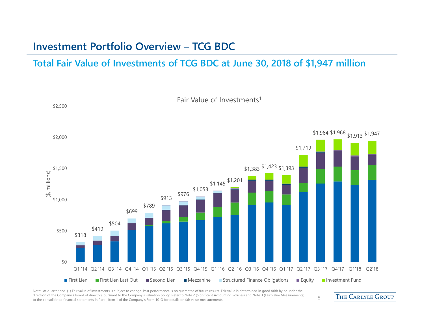### **Investment Portfolio Overview – TCG BDC**

#### **Total Fair Value of Investments of TCG BDC at June 30, 2018 of \$1,947 million**



Note: At quarter end. (1) Fair value of investments is subject to change. Past performance is no guarantee of future results. Fair value is determined in good faith by or under the direction of the Company's board of directors pursuant to the Company's valuation policy. Refer to Note 2 (Significant Accounting Policies) and Note 3 (Fair Value Measurements) airection of the Company's board of directors pursuant to the Company's valuation policy. Refer to Note 2 (Significant Accounting Policies) and Note 3 (Fair value Measurements) 5<br>to the consolidated financial statements in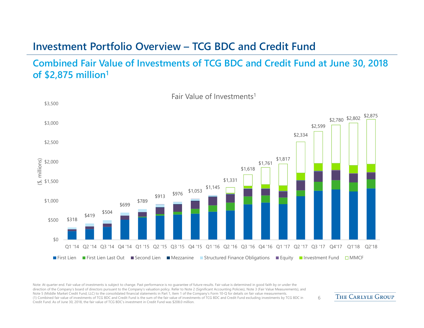### **Investment Portfolio Overview – TCG BDC and Credit Fund**

#### **Combined Fair Value of Investments of TCG BDC and Credit Fund at June 30, 2018 of \$2,875 million1**



Note: At quarter end. Fair value of investments is subject to change. Past performance is no guarantee of future results. Fair value is determined in good faith by or under the direction of the Company's board of directors pursuant to the Company's valuation policy. Refer to Note 2 (Significant Accounting Policies), Note 3 (Fair Value Measurements), and Note 5 (Middle Market Credit Fund, LLC) to the consolidated financial statements in Part 1, Item 1 of the Company's Form 10-Q for details on fair value measurements. (1) Combined fair value of investments of TCG BDC and Credit Fund is the sum of the fair value of investments of TCG BDC and Credit Fund excluding investments by TCG BDC in Credit Fund. As of June 30, 2018, the fair value of TCG BDC's investment in Credit Fund was \$208.0 million.

THE CARLYLE GROUP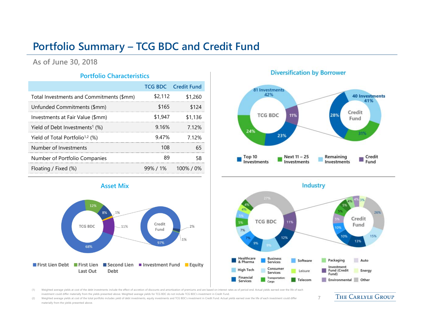## **Portfolio Summary – TCG BDC and Credit Fund**

**As of June 30, 2018**

#### **Portfolio Characteristics**

|                                             |         | <b>TCG BDC</b> Credit Fund |
|---------------------------------------------|---------|----------------------------|
| Total Investments and Commitments (\$mm)    | \$2,112 | \$1.260                    |
| Unfunded Commitments (\$mm)                 | \$165   | \$124                      |
| Investments at Fair Value (\$mm)            | \$1,947 | \$1.136                    |
| Yield of Debt Investments <sup>1</sup> (%)  | 9.16%   | 7 1 2%                     |
| Yield of Total Portfolio <sup>1,2</sup> (%) | 947%    | 7.12%                      |
| Number of Investments                       | 108     | 65                         |
| Number of Portfolio Companies               | 89      | 58                         |
| Floating / Fixed (%)                        |         | $99\%$ / $1\%$ 100% / 0%   |

**Asset Mix**

.1%

Debt

11%

12%

**TCG BDC** 

68%

Last Out

8%

#### **Diversification by Borrower**



**Industry** 

26%

15%

Energy

7



investment could differ materially from the yields presented above. Weighted average yields for TCG BDC do not include TCG BDC's investment in Credit Fund.

(2) Weighted average yields at cost of the total portfolio includes yield of debt investments, equity investments and TCG BDC's investment in Credit Fund. Actual yields earned over the life of each investment could differ materially from the yields presented above.

Credit

Fund

97%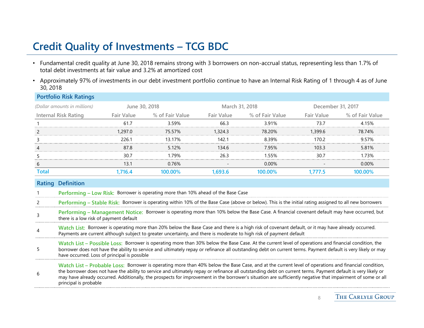# **Credit Quality of Investments – TCG BDC**

- Fundamental credit quality at June 30, 2018 remains strong with 3 borrowers on non-accrual status, representing less than 1.7% of total debt investments at fair value and 3.2% at amortized cost
- Approximately 97% of investments in our debt investment portfolio continue to have an Internal Risk Rating of 1 through 4 as of June 30, 2018

|                | <b>Portfolio Risk Ratings</b>                                                                                                                                                                                                                                                                                                                                                                                                                                                                                |               |                                                                                                                                                        |                |                 |                   |                 |  |
|----------------|--------------------------------------------------------------------------------------------------------------------------------------------------------------------------------------------------------------------------------------------------------------------------------------------------------------------------------------------------------------------------------------------------------------------------------------------------------------------------------------------------------------|---------------|--------------------------------------------------------------------------------------------------------------------------------------------------------|----------------|-----------------|-------------------|-----------------|--|
|                | (Dollar amounts in millions)                                                                                                                                                                                                                                                                                                                                                                                                                                                                                 | June 30, 2018 |                                                                                                                                                        | March 31, 2018 |                 | December 31, 2017 |                 |  |
|                | <b>Internal Risk Rating</b>                                                                                                                                                                                                                                                                                                                                                                                                                                                                                  | Fair Value    | % of Fair Value                                                                                                                                        | Fair Value     | % of Fair Value | <b>Fair Value</b> | % of Fair Value |  |
|                |                                                                                                                                                                                                                                                                                                                                                                                                                                                                                                              | 61.7          | 3.59%                                                                                                                                                  | 66.3           | 3.91%           | 73.7              | 4.15%           |  |
| $\overline{2}$ |                                                                                                                                                                                                                                                                                                                                                                                                                                                                                                              | 1,297.0       | 75.57%                                                                                                                                                 | 1,324.3        | 78.20%          | 1,399.6           | 78.74%          |  |
| 3              |                                                                                                                                                                                                                                                                                                                                                                                                                                                                                                              | 226.1         | 13.17%                                                                                                                                                 | 142.1          | 8.39%           | 170.2             | 9.57%           |  |
| 4              |                                                                                                                                                                                                                                                                                                                                                                                                                                                                                                              | 87.8          | 5.12%                                                                                                                                                  | 134.6          | 7.95%           | 103.3             | 5.81%           |  |
| 5              |                                                                                                                                                                                                                                                                                                                                                                                                                                                                                                              | 30.7          | 1.79%                                                                                                                                                  | 26.3           | 1.55%           | 30.7              | 1.73%           |  |
| 6              |                                                                                                                                                                                                                                                                                                                                                                                                                                                                                                              | 13.1          | 0.76%                                                                                                                                                  |                | $0.00\%$        |                   | 0.00%           |  |
| <b>Total</b>   |                                                                                                                                                                                                                                                                                                                                                                                                                                                                                                              | 1,716.4       | 100.00%                                                                                                                                                | 1,693.6        | 100.00%         | 1,777.5           | 100.00%         |  |
| <b>Rating</b>  | <b>Definition</b>                                                                                                                                                                                                                                                                                                                                                                                                                                                                                            |               |                                                                                                                                                        |                |                 |                   |                 |  |
|                |                                                                                                                                                                                                                                                                                                                                                                                                                                                                                                              |               | Performing - Low Risk: Borrower is operating more than 10% ahead of the Base Case                                                                      |                |                 |                   |                 |  |
|                |                                                                                                                                                                                                                                                                                                                                                                                                                                                                                                              |               | Performing - Stable Risk: Borrower is operating within 10% of the Base Case (above or below). This is the initial rating assigned to all new borrowers |                |                 |                   |                 |  |
| 3              | there is a low risk of payment default                                                                                                                                                                                                                                                                                                                                                                                                                                                                       |               | Performing - Management Notice: Borrower is operating more than 10% below the Base Case. A financial covenant default may have occurred, but           |                |                 |                   |                 |  |
| 4              | Watch List: Borrower is operating more than 20% below the Base Case and there is a high risk of covenant default, or it may have already occurred.<br>Payments are current although subject to greater uncertainty, and there is moderate to high risk of payment default                                                                                                                                                                                                                                    |               |                                                                                                                                                        |                |                 |                   |                 |  |
| 5              | Watch List - Possible Loss: Borrower is operating more than 30% below the Base Case. At the current level of operations and financial condition, the<br>borrower does not have the ability to service and ultimately repay or refinance all outstanding debt on current terms. Payment default is very likely or may<br>have occurred. Loss of principal is possible                                                                                                                                         |               |                                                                                                                                                        |                |                 |                   |                 |  |
| 6              | Watch List – Probable Loss: Borrower is operating more than 40% below the Base Case, and at the current level of operations and financial condition,<br>the borrower does not have the ability to service and ultimately repay or refinance all outstanding debt on current terms. Payment default is very likely or<br>may have already occurred. Additionally, the prospects for improvement in the borrower's situation are sufficiently negative that impairment of some or all<br>principal is probable |               |                                                                                                                                                        |                |                 |                   |                 |  |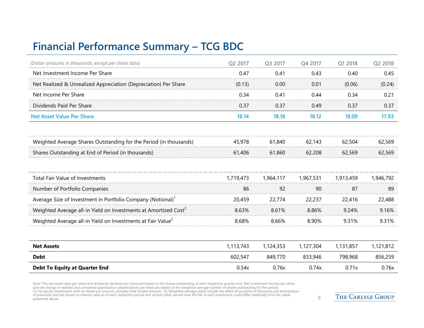# **Financial Performance Summary – TCG BDC**

| (Dollar amounts in thousands, except per share data)                        | Q2 2017   | Q3 2017   | Q4 2017   | Q1 2018   | Q2 2018   |
|-----------------------------------------------------------------------------|-----------|-----------|-----------|-----------|-----------|
| Net Investment Income Per Share                                             | 0.47      | 0.41      | 0.43      | 0.40      | 0.45      |
| Net Realized & Unrealized Appreciation (Depreciation) Per Share             | (0.13)    | 0.00      | 0.01      | (0.06)    | (0.24)    |
| Net Income Per Share                                                        | 0.34      | 0.41      | 0.44      | 0.34      | 0.21      |
| Dividends Paid Per Share                                                    | 0.37      | 0.37      | 0.49      | 0.37      | 0.37      |
| <b>Net Asset Value Per Share</b>                                            | 18.14     | 18.18     | 18.12     | 18.09     | 17.93     |
| Weighted Average Shares Outstanding for the Period (in thousands)           | 45,978    | 61,840    | 62,143    | 62,504    | 62,569    |
| Shares Outstanding at End of Period (in thousands)                          | 61,406    | 61,860    | 62,208    | 62,569    | 62,569    |
| <b>Total Fair Value of Investments</b>                                      | 1,719,473 | 1,964,117 | 1,967,531 | 1,913,459 | 1,946,792 |
| Number of Portfolio Companies                                               | 86        | 92        | 90        | 87        | 89        |
| Average Size of Investment in Portfolio Company (Notional) <sup>1</sup>     | 20,459    | 22,774    | 22,237    | 22,416    | 22,488    |
| Weighted Average all-in Yield on Investments at Amortized Cost <sup>2</sup> | 8.63%     | 8.61%     | 8.86%     | 9.24%     | 9.16%     |
| Weighted Average all-in Yield on Investments at Fair Value <sup>2</sup>     | 8.68%     | 8.66%     | 8.90%     | 9.31%     | 9.31%     |
| <b>Net Assets</b>                                                           | 1,113,743 | 1,124,353 | 1,127,304 | 1,131,857 | 1,121,812 |
| <b>Debt</b>                                                                 | 602,547   | 849,770   | 833,946   | 798,968   | 856,259   |
| <b>Debt To Equity at Quarter End</b>                                        | 0.54x     | 0.76x     | 0.74x     | 0.71x     | 0.76x     |

Note: The net asset value per share and dividends declared per share are based on the shares outstanding at each respective quarter-end. Net investment income per share<br>and net change in realized and unrealized appreciatio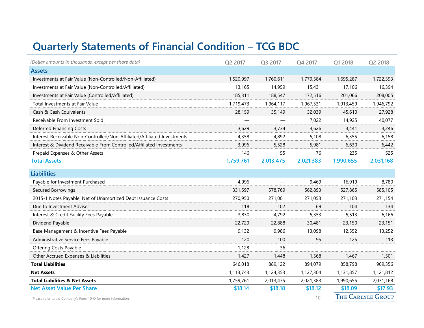# **Quarterly Statements of Financial Condition – TCG BDC**

| (Dollar amounts in thousands, except per share data)                     | Q2 2017   | Q3 2017   | Q4 2017   | Q1 2018   | Q2 2018                  |
|--------------------------------------------------------------------------|-----------|-----------|-----------|-----------|--------------------------|
| <b>Assets</b>                                                            |           |           |           |           |                          |
| Investments at Fair Value (Non-Controlled/Non-Affiliated)                | 1,520,997 | 1,760,611 | 1,779,584 | 1,695,287 | 1,722,393                |
| Investments at Fair Value (Non-Controlled/Affiliated)                    | 13,165    | 14,959    | 15,431    | 17,106    | 16,394                   |
| Investments at Fair Value (Controlled/Affiliated)                        | 185,311   | 188,547   | 172,516   | 201,066   | 208,005                  |
| Total Investments at Fair Value                                          | 1,719,473 | 1,964,117 | 1,967,531 | 1,913,459 | 1,946,792                |
| Cash & Cash Equivalents                                                  | 28,159    | 35,149    | 32,039    | 45,610    | 27,928                   |
| Receivable From Investment Sold                                          |           |           | 7,022     | 14,925    | 40,077                   |
| <b>Deferred Financing Costs</b>                                          | 3,629     | 3,734     | 3,626     | 3,441     | 3,246                    |
| Interest Receivable Non-Controlled/Non-Affiliated/Affiliated Investments | 4,358     | 4,892     | 5,108     | 6,355     | 6,158                    |
| Interest & Dividend Receivable From Controlled/Affiliated Investments    | 3,996     | 5,528     | 5,981     | 6,630     | 6,442                    |
| Prepaid Expenses & Other Assets                                          | 146       | 55        | 76        | 235       | 525                      |
| <b>Total Assets</b>                                                      | 1,759,761 | 2,013,475 | 2,021,383 | 1,990,655 | 2,031,168                |
| <b>Liabilities</b>                                                       |           |           |           |           |                          |
| Payable for Investment Purchased                                         | 4,996     |           | 9,469     | 16,919    | 8,780                    |
| Secured Borrowings                                                       | 331,597   | 578,769   | 562,893   | 527,865   | 585,105                  |
| 2015-1 Notes Payable, Net of Unamortized Debt Issuance Costs             | 270,950   | 271,001   | 271,053   | 271,103   | 271,154                  |
| Due to Investment Adviser                                                | 118       | 102       | 69        | 104       | 134                      |
| Interest & Credit Facility Fees Payable                                  | 3,830     | 4,792     | 5,353     | 5,513     | 6,166                    |
| Dividend Payable                                                         | 22,720    | 22,888    | 30,481    | 23,150    | 23,151                   |
| Base Management & Incentive Fees Payable                                 | 9,132     | 9,986     | 13,098    | 12,552    | 13,252                   |
| Administrative Service Fees Payable                                      | 120       | 100       | 95        | 125       | 113                      |
| <b>Offering Costs Payable</b>                                            | 1,128     | 36        |           |           |                          |
| Other Accrued Expenses & Liabilities                                     | 1,427     | 1,448     | 1,568     | 1,467     | 1,501                    |
| <b>Total Liabilities</b>                                                 | 646,018   | 889,122   | 894,079   | 858,798   | 909,356                  |
| <b>Net Assets</b>                                                        | 1,113,743 | 1,124,353 | 1,127,304 | 1,131,857 | 1,121,812                |
| <b>Total Liabilities &amp; Net Assets</b>                                | 1,759,761 | 2,013,475 | 2,021,383 | 1,990,655 | 2,031,168                |
| <b>Net Asset Value Per Share</b>                                         | \$18.14   | \$18.18   | \$18.12   | \$18.09   | \$17.93                  |
| Please refer to the Company's Form 10-Q for more information.            |           |           | 10        |           | <b>THE CARLYLE GROUP</b> |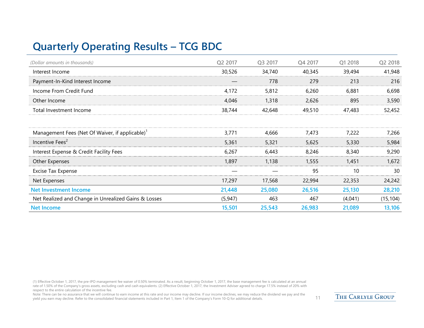# **Quarterly Operating Results – TCG BDC**

| (Dollar amounts in thousands)                               | Q2 2017  | Q3 2017 | Q4 2017 | Q1 2018 | Q2 2018   |
|-------------------------------------------------------------|----------|---------|---------|---------|-----------|
| Interest Income                                             | 30,526   | 34,740  | 40,345  | 39,494  | 41,948    |
| Payment-In-Kind Interest Income                             |          | 778     | 279     | 213     | 216       |
| Income From Credit Fund                                     | 4,172    | 5,812   | 6,260   | 6,881   | 6,698     |
| Other Income                                                | 4.046    | 1,318   | 2,626   | 895     | 3,590     |
| Total Investment Income                                     | 38,744   | 42,648  | 49,510  | 47,483  | 52,452    |
|                                                             |          |         |         |         |           |
| Management Fees (Net Of Waiver, if applicable) <sup>1</sup> | 3,771    | 4,666   | 7,473   | 7,222   | 7,266     |
| Incentive Fees <sup>2</sup>                                 | 5,361    | 5,321   | 5,625   | 5,330   | 5,984     |
| Interest Expense & Credit Facility Fees                     | 6,267    | 6,443   | 8,246   | 8,340   | 9,290     |
| Other Expenses                                              | 1,897    | 1,138   | 1,555   | 1,451   | 1,672     |
| Excise Tax Expense                                          |          |         | 95      | 10      | 30        |
| Net Expenses                                                | 17,297   | 17,568  | 22,994  | 22,353  | 24,242    |
| <b>Net Investment Income</b>                                | 21,448   | 25,080  | 26,516  | 25,130  | 28,210    |
| Net Realized and Change in Unrealized Gains & Losses        | (5, 947) | 463     | 467     | (4,041) | (15, 104) |
| <b>Net Income</b>                                           | 15,501   | 25,543  | 26,983  | 21,089  | 13,106    |

(1) Effective October 1, 2017, the pre-IPO management fee waiver of 0.50% terminated. As a result, beginning October 1, 2017, the base management fee is calculated at an annual rate of 1.50% of the Company's gross assets, excluding cash and cash equivalents. (2) Effective October 1, 2017, the Investment Adviser agreed to charge 17.5% instead of 20% with respect to the entire calculation of the incentive fee.

Note: There can be no assurance that we will continue to earn income at this rate and our income may decline. If our income declines, we may reduce the dividend we pay and the yield you earn may decline. Refer to the consolidated financial statements included in Part 1, Item 1 of the Company's Form 10-Q for additional details. 11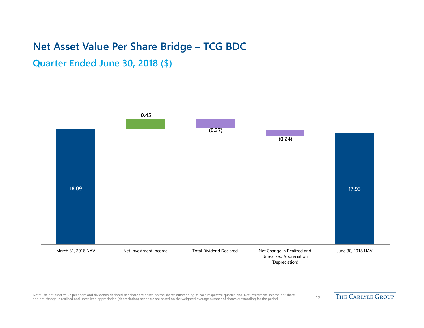#### **Net Asset Value Per Share Bridge – TCG BDC**

#### **Quarter Ended June 30, 2018 (\$)**



Note: The net asset value per share and dividends declared per share are based on the shares outstanding at each respective quarter-end. Net investment income per share thare and dividends also declared per share dideption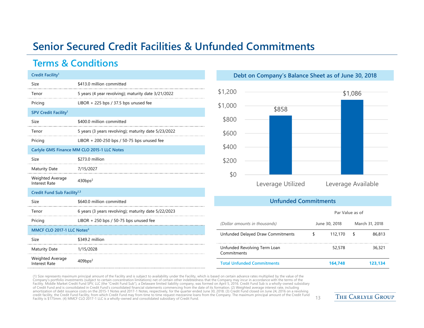### **Senior Secured Credit Facilities & Unfunded Commitments**

#### **Terms & Conditions**

| Credit Facility <sup>1</sup>             |                                                      |
|------------------------------------------|------------------------------------------------------|
| Size                                     | \$413.0 million committed                            |
| Tenor                                    | 5 years (4 year revolving); maturity date 3/21/2022  |
| Pricing                                  | LIBOR + 225 bps / 37.5 bps unused fee                |
| SPV Credit Facility <sup>1</sup>         |                                                      |
| Size                                     | \$400.0 million committed                            |
| Tenor                                    | 5 years (3 years revolving); maturity date 5/23/2022 |
| Pricing                                  | LIBOR + 200-250 bps / 50-75 bps unused fee           |
|                                          | Carlyle GMS Finance MM CLO 2015-1 LLC Notes          |
| Size                                     | \$273.0 million                                      |
| <b>Maturity Date</b>                     | 7/15/2027                                            |
| Weighted Average<br><b>Interest Rate</b> | 430bps <sup>2</sup>                                  |
| Credit Fund Sub Facility <sup>1,3</sup>  |                                                      |
| Size                                     | \$640.0 million committed                            |
| Tenor                                    | 6 years (3 years revolving); maturity date 5/22/2023 |
| Pricing                                  | LIBOR $+ 250$ bps / 50-75 bps unused fee             |
| MMCF CLO 2017-1 LLC Notes <sup>4</sup>   |                                                      |
| Size                                     | \$349.2 million                                      |
| <b>Maturity Date</b>                     | 1/15/2028                                            |
| Weighted Average<br><b>Interest Rate</b> | $409$ bps <sup>2</sup>                               |

**Debt on Company's Balance Sheet as of June 30, 2018**



#### **Unfunded Commitments**

|                                             | Par Value as of |               |   |                |
|---------------------------------------------|-----------------|---------------|---|----------------|
| (Dollar amounts in thousands)               |                 | June 30, 2018 |   | March 31, 2018 |
| Unfunded Delayed Draw Commitments           | S               | 112,170       | S | 86,813         |
| Unfunded Revolving Term Loan<br>Commitments |                 | 52,578        |   | 36.321         |
| <b>Total Unfunded Commitments</b>           |                 | 164.748       |   | 123,134        |

(1) Size represents maximum principal amount of the Facility and is subject to availability under the Facility, which is based on certain advance rates multiplied by the value of the Company's portfolio investments (subject to certain concentration limitations) net of certain other indebtedness that the Company may incur in accordance with the terms of the Facility. Middle Market Credit Fund SPV, LLC (the "Credit Fund Sub"), a Delaware limited liability company, was formed on April 5, 2016. Credit Fund Sub is a wholly-owned subsidiary of Credit Fund and is consolidated in Credit Fund's consolidated financial statements commencing from the date of its formation. (2) Weighted average interest rate, including<br>amortization of debt issuance costs on the 2015 credit facility, the Credit Fund Facility, from which Credit Fund may from time to time request mezzanine loans from the Company. The maximum principal amount of the Credit Fund credit facility, the credit Fund Facility, from which credit Fund may from time to time request mezzanine ioans from the company. The maximum principal amount of the credit Fund. 13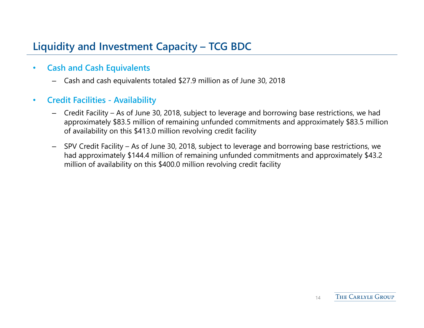# **Liquidity and Investment Capacity – TCG BDC**

- • **Cash and Cash Equivalents** 
	- –Cash and cash equivalents totaled \$27.9 million as of June 30, 2018
- $\bullet$  **Credit Facilities - Availability**
	- Credit Facility As of June 30, 2018, subject to leverage and borrowing base restrictions, we had approximately \$83.5 million of remaining unfunded commitments and approximately \$83.5 million of availability on this \$413.0 million revolving credit facilit y
	- SPV Credit Facility As of June 30, 2018, subject to leverage and borrowing base restrictions, we had approximately \$144.4 million of remaining unfunded commitments and approximately \$43.2 million of availability on this \$400.0 million revolving credit facility